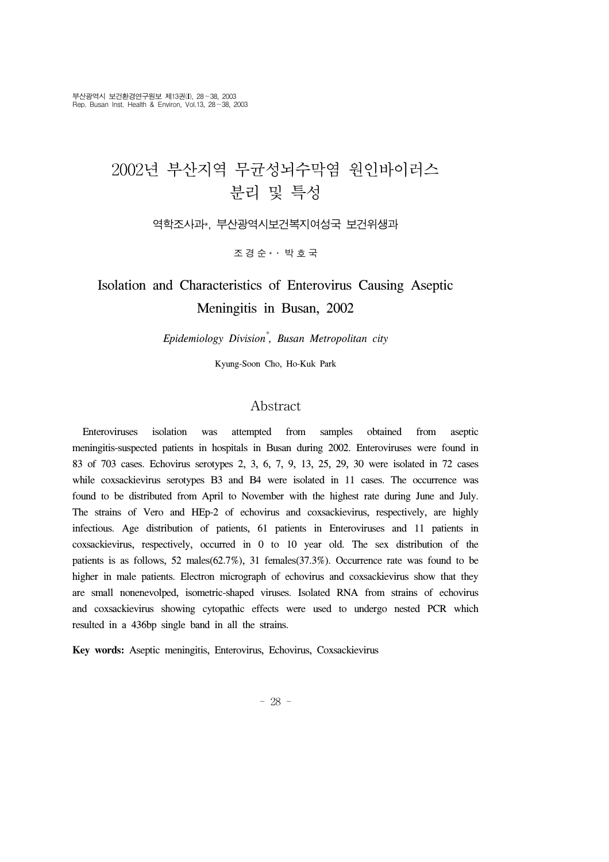# 2002년 부산지역 무균성뇌수막염 원인바이러스 분리 및 특성

역학조사과\*, 부산광역시보건복지여성국 보건위생과

조경순 \*․ 박호국

## Isolation and Characteristics of Enterovirus Causing Aseptic Meningitis in Busan, 2002

*Epidemiology Division\* , Busan Metropolitan city*

Kyung-Soon Cho, Ho-Kuk Park

## Abstract

 Enteroviruses isolation was attempted from samples obtained from aseptic meningitis-suspected patients in hospitals in Busan during 2002. Enteroviruses were found in 83 of 703 cases. Echovirus serotypes 2, 3, 6, 7, 9, 13, 25, 29, 30 were isolated in 72 cases while coxsackievirus serotypes B3 and B4 were isolated in 11 cases. The occurrence was found to be distributed from April to November with the highest rate during June and July. The strains of Vero and HEp-2 of echovirus and coxsackievirus, respectively, are highly infectious. Age distribution of patients, 61 patients in Enteroviruses and 11 patients in coxsackievirus, respectively, occurred in 0 to 10 year old. The sex distribution of the patients is as follows, 52 males(62.7%), 31 females(37.3%). Occurrence rate was found to be higher in male patients. Electron micrograph of echovirus and coxsackievirus show that they are small nonenevolped, isometric-shaped viruses. Isolated RNA from strains of echovirus and coxsackievirus showing cytopathic effects were used to undergo nested PCR which resulted in a 436bp single band in all the strains.

**Key words:** Aseptic meningitis, Enterovirus, Echovirus, Coxsackievirus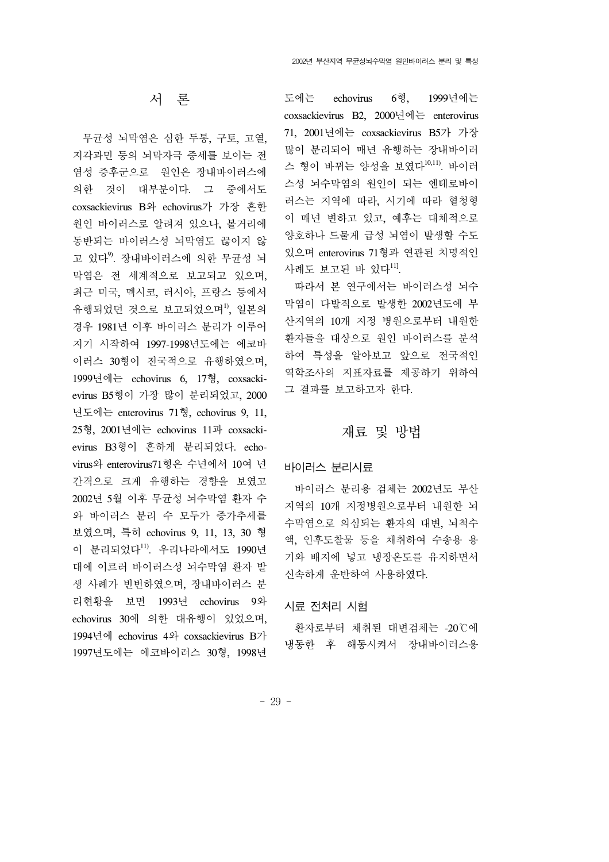## 서 론

 무균성 뇌막염은 심한 두통, 구토, 고열, 지각과민 등의 뇌막자극 증세를 보이는 전 염성 증후군으로 원인은 장내바이러스에 의한 것이 대부분이다. 그 중에서도 coxsackievirus B와 echovirus가 가장 흔한 원인 바이러스로 알려져 있으나, 볼거리에 동반되는 바이러스성 뇌막염도 끊이지 않 고 있다<sup>9)</sup>. 장내바이러스에 의한 무균성 뇌 막염은 전 세계적으로 보고되고 있으며, 최근 미국, 멕시코, 러시아, 프랑스 등에서 유행되었던 것으로 보고되었으며<sup>1)</sup>, 일본의 경우 1981년 이후 바이러스 분리가 이루어 지기 시작하여 1997-1998년도에는 에코바 이러스 30형이 전국적으로 유행하였으며, 1999년에는 echovirus 6, 17형, coxsackievirus B5형이 가장 많이 분리되었고, 2000 년도에는 enterovirus 71형, echovirus 9, 11, 25형, 2001년에는 echovirus 11과 coxsackievirus B3형이 흔하게 분리되었다. echovirus와 enterovirus71형은 수년에서 10여 년 간격으로 크게 유행하는 경향을 보였고 2002년 5월 이후 무균성 뇌수막염 환자 수 와 바이러스 분리 수 모두가 증가추세를 보였으며, 특히 echovirus 9, 11, 13, 30 형 이 분리되었다 $11$ , 우리나라에서도 1990년 대에 이르러 바이러스성 뇌수막염 환자 발 생 사례가 빈번하였으며, 장내바이러스 분 리현황을 보면 1993년 echovirus 9와 echovirus 30에 의한 대유행이 있었으며, 1994년에 echovirus 4와 coxsackievirus B가 1997년도에는 에코바이러스 30형, 1998년

도에는 echovirus 6형, 1999년에는 coxsackievirus B2, 2000년에는 enterovirus 71, 2001년에는 coxsackievirus B5가 가장 많이 분리되어 매년 유행하는 장내바이러 스 형이 바뀌는 양성을 보였다<sup>10,11)</sup>. 바이러 스성 뇌수막염의 원인이 되는 엔테로바이 러스는 지역에 따라, 시기에 따라 혈청형 이 매년 변하고 있고, 예후는 대체적으로 양호하나 드물게 급성 뇌염이 발생할 수도 있으며 enterovirus 71형과 연관된 치명적인 사례도 보고된 바 있다11].

 따라서 본 연구에서는 바이러스성 뇌수 막염이 다발적으로 발생한 2002년도에 부 산지역의 10개 지정 병원으로부터 내원한 환자들을 대상으로 원인 바이러스를 분석 하여 특성을 알아보고 앞으로 전국적인 역학조사의 지표자료를 제공하기 위하여 그 결과를 보고하고자 한다.

## 재료 및 방법

#### 바이러스 분리시료

 바이러스 분리용 검체는 2002년도 부산 지역의 10개 지정병원으로부터 내원한 뇌 수막염으로 의심되는 환자의 대변, 뇌척수 액, 인후도찰물 등을 채취하여 수송용 용 기와 배지에 넣고 냉장온도를 유지하면서 신속하게 운반하여 사용하였다.

#### 시료 전처리 시험

 환자로부터 채취된 대변검체는 -20℃에 냉동한 후 해동시켜서 장내바이러스용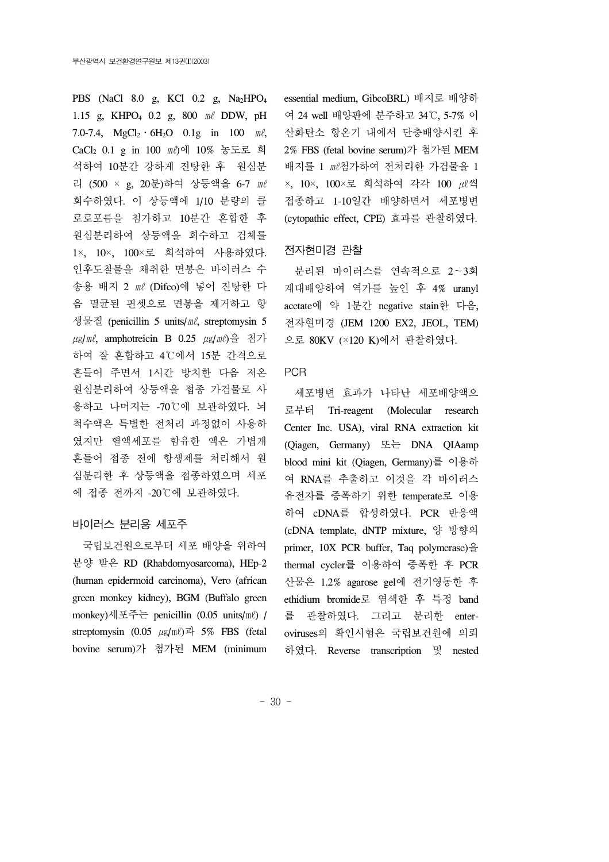PBS (NaCl 8.0 g, KCl 0.2 g, Na2HPO4 1.15 g, KHPO4 0.2 g, 800 ㎖ DDW, pH 7.0-7.4,  $MgCl_2 \tcdot 6H_2O$  0.1g in 100  $m\ell$ , CaCl2 0.1 g in 100 ㎖)에 10% 농도로 희 석하여 10분간 강하게 진탕한 후 원심분 리 (500 × g, 20분)하여 상등액을 6-7 ㎖ 회수하였다. 이 상등액에 1/10 분량의 클 로로포름을 첨가하고 10분간 혼합한 후 원심분리하여 상등액을 회수하고 검체를 1×, 10×, 100×로 희석하여 사용하였다. 인후도찰물을 채취한 면봉은 바이러스 수 송용 배지 2 ㎖ (Difco)에 넣어 진탕한 다 음 멸균된 핀셋으로 면봉을 제거하고 항 생물질 (penicillin 5 units/㎖, streptomysin 5 ㎍/㎖, amphotreicin B 0.25 ㎍/㎖)을 첨가 하여 잘 혼합하고 4℃에서 15분 간격으로 흔들어 주면서 1시간 방치한 다음 저온 원심분리하여 상등액을 접종 가검물로 사 용하고 나머지는 -70℃에 보관하였다. 뇌 척수액은 특별한 전처리 과정없이 사용하 였지만 혈액세포를 함유한 액은 가볍게 흔들어 접종 전에 항생제를 처리해서 원 심분리한 후 상등액을 접종하였으며 세포 에 접종 전까지 -20℃에 보관하였다.

#### 바이러스 분리용 세포주

 국립보건원으로부터 세포 배양을 위하여 분양 받은 RD **(**Rhabdomyosarcoma), HEp-2 (human epidermoid carcinoma), Vero (african green monkey kidney), BGM (Buffalo green monkey)세포주는 penicillin (0.05 units/㎖) / streptomysin  $(0.05 \ \mu\text{g/mL})$ <sup> $\exists$ </sup> 5% FBS (fetal bovine serum)가 첨가된 MEM (minimum essential medium, GibcoBRL) 배지로 배양하 여 24 well 배양판에 분주하고 34℃, 5-7% 이 산화탄소 항온기 내에서 단층배양시킨 후 2% FBS (fetal bovine serum)가 첨가된 MEM 배지를 1 ㎖첨가하여 전처리한 가검물을 1 ×, 10×, 100×로 희석하여 각각 100 ㎕씩 접종하고 1-10일간 배양하면서 세포병변 (cytopathic effect, CPE) 효과를 관찰하였다.

#### 전자현미경 관찰

 분리된 바이러스를 연속적으로 2∼3회 계대배양하여 역가를 높인 후 4% uranyl acetate에 약 1분간 negative stain한 다음, 전자현미경 (JEM 1200 EX2, JEOL, TEM) 으로 80KV (×120 K)에서 관찰하였다.

#### PCR

세포병변 효과가 나타난 세포배양액으 로부터 Tri-reagent (Molecular research Center Inc. USA), viral RNA extraction kit (Qiagen, Germany) 또는 DNA QIAamp blood mini kit (Qiagen, Germany)를 이용하 여 RNA를 추출하고 이것을 각 바이러스 유전자를 증폭하기 위한 temperate로 이용 하여 cDNA를 합성하였다. PCR 반응액 (cDNA template, dNTP mixture, 양 방향의 primer, 10X PCR buffer, Taq polymerase)을 thermal cycler를 이용하여 증폭한 후 PCR 산물은 1.2% agarose gel에 전기영동한 후 ethidium bromide로 염색한 후 특정 band 를 관찰하였다. 그리고 분리한 enteroviruses의 확인시험은 국립보건원에 의뢰 하였다. Reverse transcription 및 nested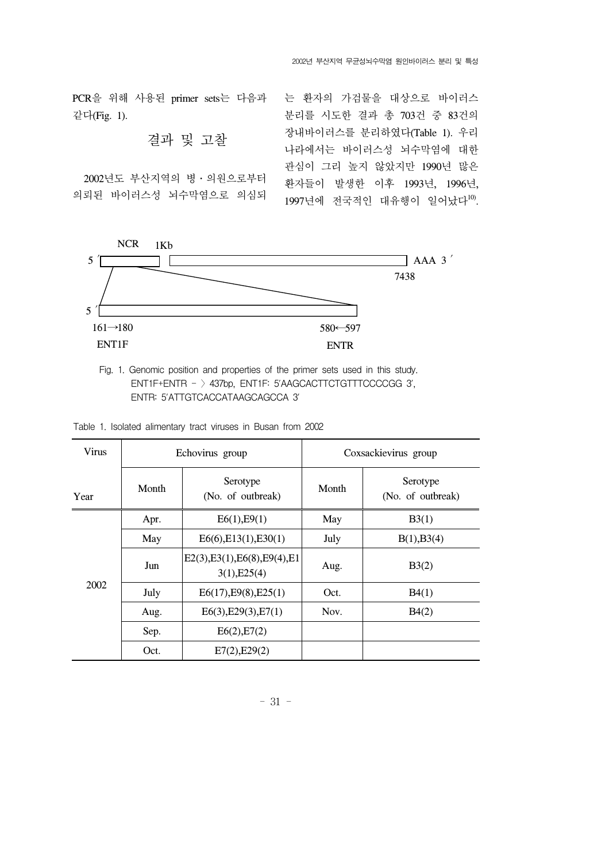PCR을 위해 사용된 primer sets는 다음과 같다(Fig. 1).

## 결과 및 고찰

 2002년도 부산지역의 병․의원으로부터 의뢰된 바이러스성 뇌수막염으로 의심되 는 환자의 가검물을 대상으로 바이러스 분리를 시도한 결과 총 703건 중 83건의 장내바이러스를 분리하였다(Table 1). 우리 나라에서는 바이러스성 뇌수막염에 대한 관심이 그리 높지 않았지만 1990년 많은 환자들이 발생한 이후 1993년, 1996년,  $1997$ 년에 전국적인 대유행이 일어났다 $^{10}$ .



Fig. 1. Genomic position and properties of the primer sets used in this study. ENT1F+ENTR - 〉437bp, ENT1F: 5'AAGCACTTCTGTTTCCCCGG 3', ENTR: 5'ATTGTCACCATAAGCAGCCA 3'

| <b>Virus</b> |                                        | Echovirus group                                | Coxsackievirus group |                               |  |  |
|--------------|----------------------------------------|------------------------------------------------|----------------------|-------------------------------|--|--|
| Year         | Serotype<br>Month<br>(No. of outbreak) |                                                | Month                | Serotype<br>(No. of outbreak) |  |  |
| 2002         | Apr.                                   | E6(1), E9(1)                                   | May                  | B3(1)                         |  |  |
|              | May                                    | E6(6), E13(1), E30(1)                          | July                 | B(1), B3(4)                   |  |  |
|              | Jun                                    | E2(3), E3(1), E6(8), E9(4), E1<br>3(1), E25(4) | Aug.                 | B3(2)                         |  |  |
|              | July                                   | E6(17), E9(8), E25(1)                          | Oct.                 | B4(1)                         |  |  |
|              | Aug.                                   | E6(3), E29(3), E7(1)                           | Nov.                 | B4(2)                         |  |  |
|              | Sep.                                   | E6(2), E7(2)                                   |                      |                               |  |  |
|              | Oct.                                   | E7(2), E29(2)                                  |                      |                               |  |  |

|  |  |  | Table 1. Isolated alimentary tract viruses in Busan from 2002 |  |  |  |  |  |  |
|--|--|--|---------------------------------------------------------------|--|--|--|--|--|--|
|--|--|--|---------------------------------------------------------------|--|--|--|--|--|--|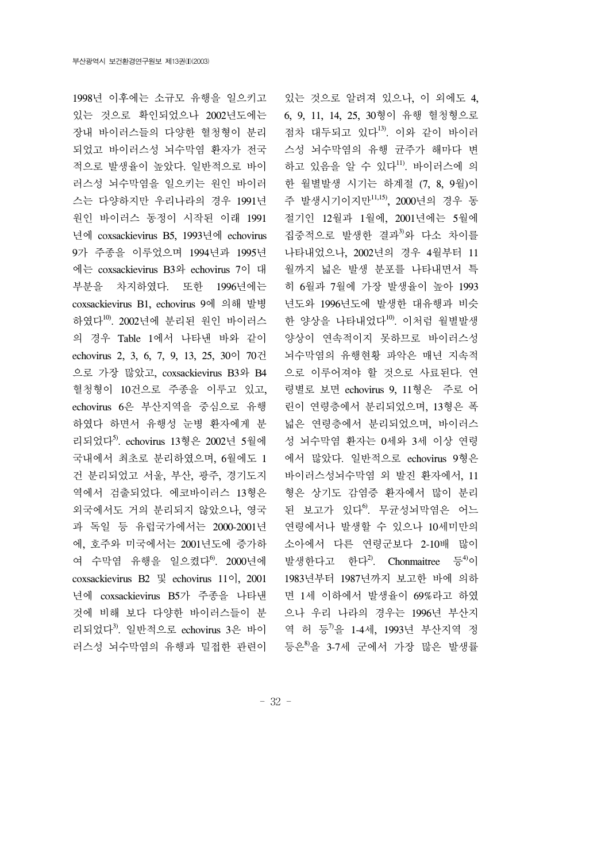1998년 이후에는 소규모 유행을 일으키고 있는 것으로 확인되었으나 2002년도에는 장내 바이러스들의 다양한 혈청형이 분리 되었고 바이러스성 뇌수막염 환자가 전국 적으로 발생율이 높았다. 일반적으로 바이 러스성 뇌수막염을 일으키는 원인 바이러 스는 다양하지만 우리나라의 경우 1991년 원인 바이러스 동정이 시작된 이래 1991 년에 coxsackievirus B5, 1993년에 echovirus 9가 주종을 이루었으며 1994년과 1995년 에는 coxsackievirus B3와 echovirus 7이 대 부분을 차지하였다. 또한 1996년에는 coxsackievirus B1, echovirus 9에 의해 발병 하였다10). 2002년에 분리된 원인 바이러스 의 경우 Table 1에서 나타낸 바와 같이 echovirus 2, 3, 6, 7, 9, 13, 25, 30이 70건 으로 가장 많았고, coxsackievirus B3와 B4 혈청형이 10건으로 주종을 이루고 있고, echovirus 6은 부산지역을 중심으로 유행 하였다 하면서 유행성 눈병 환자에게 분 리되었다5). echovirus 13형은 2002년 5월에 국내에서 최초로 분리하였으며, 6월에도 1 건 분리되었고 서울, 부산, 광주, 경기도지 역에서 검출되었다. 에코바이러스 13형은 외국에서도 거의 분리되지 않았으나, 영국 과 독일 등 유럽국가에서는 2000-2001년 에, 호주와 미국에서는 2001년도에 증가하 여 수막염 유행을 일으켰다<sup>6</sup>. 2000년에 coxsackievirus B2 및 echovirus 11이, 2001 년에 coxsackievirus B5가 주종을 나타낸 것에 비해 보다 다양한 바이러스들이 분 리되었다3). 일반적으로 echovirus 3은 바이 러스성 뇌수막염의 유행과 밀접한 관련이

있는 것으로 알려져 있으나, 이 외에도 4, 6, 9, 11, 14, 25, 30형이 유행 혈청형으로 점차 대두되고 있다13). 이와 같이 바이러 스성 뇌수막염의 유행 균주가 해마다 변 하고 있음을 알 수 있다11). 바이러스에 의 한 월별발생 시기는 하계절 (7, 8, 9월)이 주 발생시기이지만11,15), 2000년의 경우 동 절기인 12월과 1월에, 2001년에는 5월에 집중적으로 발생한 결과3)와 다소 차이를 나타내었으나, 2002년의 경우 4월부터 11 월까지 넓은 발생 분포를 나타내면서 특 히 6월과 7월에 가장 발생율이 높아 1993 년도와 1996년도에 발생한 대유행과 비슷 한 양상을 나타내었다<sup>10</sup>. 이처럼 월별발생 양상이 연속적이지 못하므로 바이러스성 뇌수막염의 유행현황 파악은 매년 지속적 으로 이루어져야 할 것으로 사료된다. 연 령별로 보면 echovirus 9, 11형은 주로 어 린이 연령층에서 분리되었으며, 13형은 폭 넓은 연령층에서 분리되었으며, 바이러스 성 뇌수막염 환자는 0세와 3세 이상 연령 에서 많았다. 일반적으로 echovirus 9형은 바이러스성뇌수막염 외 발진 환자에서, 11 형은 상기도 감염증 환자에서 많이 분리 된 보고가 있다<sup>6</sup>. 무균성뇌막염은 어느 연령에서나 발생할 수 있으나 10세미만의 소아에서 다른 연령군보다 2-10배 많이 발생한다고 한다 $^{2)}$ . Chonmaitree 등 $^{4)}$ 이 1983년부터 1987년까지 보고한 바에 의하 면 1세 이하에서 발생율이 69%라고 하였 으나 우리 나라의 경우는 1996년 부산지 역 허 등 <sup>7</sup>을 1-4세, 1993년 부산지역 정 등은<sup>8)</sup>을 3-7세 군에서 가장 많은 발생률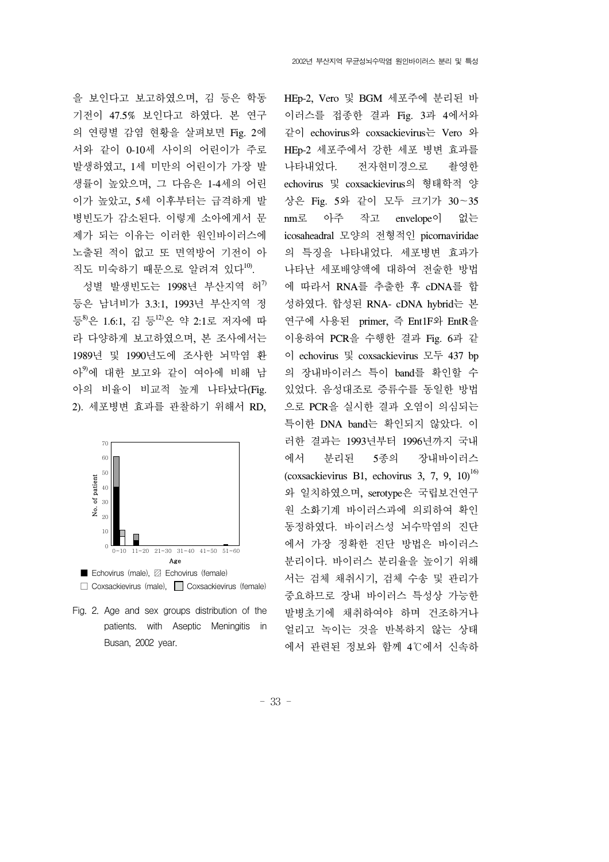을 보인다고 보고하였으며, 김 등은 학동 기전이 47.5% 보인다고 하였다. 본 연구 의 연령별 감염 현황을 살펴보면 Fig. 2에 서와 같이 0-10세 사이의 어린이가 주로 발생하였고, 1세 미만의 어린이가 가장 발 생률이 높았으며, 그 다음은 1-4세의 어린 이가 높았고, 5세 이후부터는 급격하게 발 병빈도가 감소된다. 이렇게 소아에게서 문 제가 되는 이유는 이러한 원인바이러스에 노출된 적이 없고 또 면역방어 기전이 아 직도 미숙하기 때문으로 알려져 있다 $^{10}$ .

성별 발생빈도는 1998년 부산지역 허 $^7$ 등은 남녀비가 3.3:1, 1993년 부산지역 정 등8)은 1.6:1, 김 등<sup>12)</sup>은 약 2:1로 저자에 따 라 다양하게 보고하였으며, 본 조사에서는 1989년 및 1990년도에 조사한 뇌막염 환 아9)에 대한 보고와 같이 여아에 비해 남 아의 비율이 비교적 높게 나타났다(Fig. 2). 세포병변 효과를 관찰하기 위해서 RD,





Fig. 2. Age and sex groups distribution of the patients. with Aseptic Meningitis in Busan, 2002 year.

HEp-2, Vero 및 BGM 세포주에 분리된 바 이러스를 접종한 결과 Fig. 3과 4에서와 같이 echovirus와 coxsackievirus는 Vero 와 HEp-2 세포주에서 강한 세포 병변 효과를 나타내었다. 전자현미경으로 촬영한 echovirus 및 coxsackievirus의 형태학적 양 상은 Fig. 5와 같이 모두 크기가 30∼35 nm로 아주 작고 envelope이 없는 icosaheadral 모양의 전형적인 picornaviridae 의 특징을 나타내었다. 세포병변 효과가 나타난 세포배양액에 대하여 전술한 방법 에 따라서 RNA를 추출한 후 cDNA를 합 성하였다. 합성된 RNA- cDNA hybrid는 본 연구에 사용된 primer, 즉 Ent1F와 EntR을 이용하여 PCR을 수행한 결과 Fig. 6과 같 이 echovirus 및 coxsackievirus 모두 437 bp 의 장내바이러스 특이 band를 확인할 수 있었다. 음성대조로 증류수를 동일한 방법 으로 PCR을 실시한 결과 오염이 의심되는 특이한 DNA band는 확인되지 않았다. 이 러한 결과는 1993년부터 1996년까지 국내 에서 분리된 5종의 장내바이러스 (coxsackievirus B1, echovirus 3, 7, 9,  $10^{16}$ ) 와 일치하였으며, serotype은 국립보건연구 원 소화기계 바이러스과에 의뢰하여 확인 동정하였다. 바이러스성 뇌수막염의 진단 에서 가장 정확한 진단 방법은 바이러스 분리이다. 바이러스 분리율을 높이기 위해 서는 검체 채취시기, 검체 수송 및 관리가 중요하므로 장내 바이러스 특성상 가능한 발병초기에 채취하여야 하며 건조하거나 얼리고 녹이는 것을 반복하지 않는 상태 에서 관련된 정보와 함께 4℃에서 신속하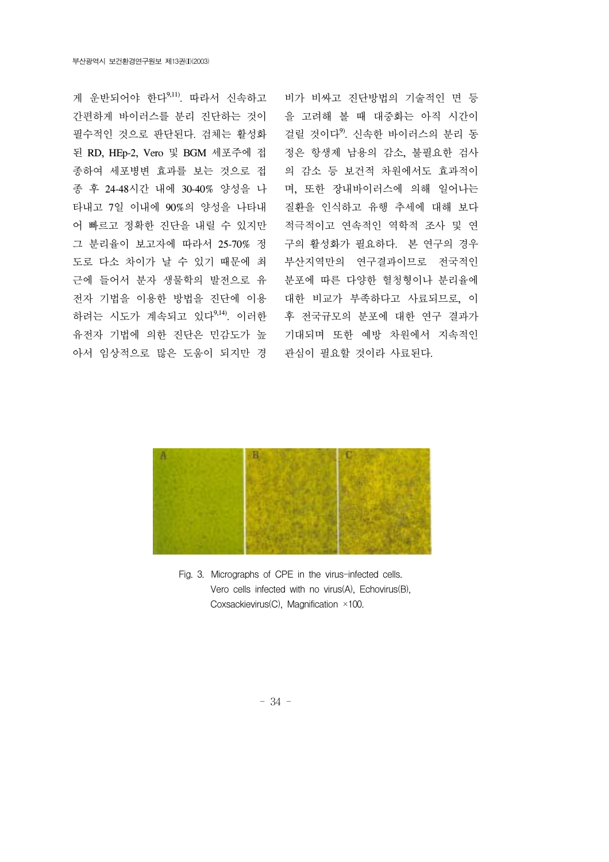게 운반되어야 한다9,11). 따라서 신속하고 간편하게 바이러스를 분리 진단하는 것이 필수적인 것으로 판단된다. 검체는 활성화 된 RD, HEp-2, Vero 및 BGM 세포주에 접 종하여 세포병변 효과를 보는 것으로 접 종 후 24-48시간 내에 30-40% 양성을 나 타내고 7일 이내에 90%의 양성을 나타내 어 빠르고 정확한 진단을 내릴 수 있지만 그 분리율이 보고자에 따라서 25-70% 정 도로 다소 차이가 날 수 있기 때문에 최 근에 들어서 분자 생물학의 발전으로 유 전자 기법을 이용한 방법을 진단에 이용 하려는 시도가 계속되고 있다9,14). 이러한 유전자 기법에 의한 진단은 민감도가 높 아서 임상적으로 많은 도움이 되지만 경

비가 비싸고 진단방법의 기술적인 면 등 을 고려해 볼 때 대중화는 아직 시간이 걸릴 것이다9). 신속한 바이러스의 분리 동 정은 항생제 남용의 감소, 불필요한 검사 의 감소 등 보건적 차원에서도 효과적이 며, 또한 장내바이러스에 의해 일어나는 질환을 인식하고 유행 추세에 대해 보다 적극적이고 연속적인 역학적 조사 및 연 구의 활성화가 필요하다. 본 연구의 경우 부산지역만의 연구결과이므로 전국적인 분포에 따른 다양한 혈청형이나 분리율에 대한 비교가 부족하다고 사료되므로, 이 후 전국규모의 분포에 대한 연구 결과가 기대되며 또한 예방 차원에서 지속적인 관심이 필요할 것이라 사료된다.



Fig. 3. Micrographs of CPE in the virus-infected cells. Vero cells infected with no virus(A), Echovirus(B), Coxsackievirus(C), Magnification ×100.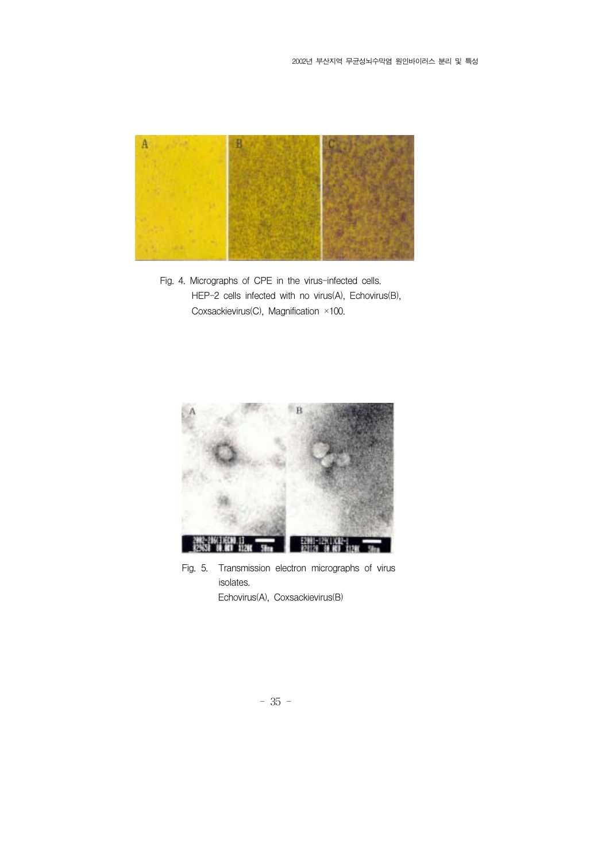

Fig. 4. Micrographs of CPE in the virus-infected cells. HEP-2 cells infected with no virus(A), Echovirus(B), Coxsackievirus(C), Magnification ×100.



Fig. 5. Transmission electron micrographs of virus isolates. Echovirus(A), Coxsackievirus(B)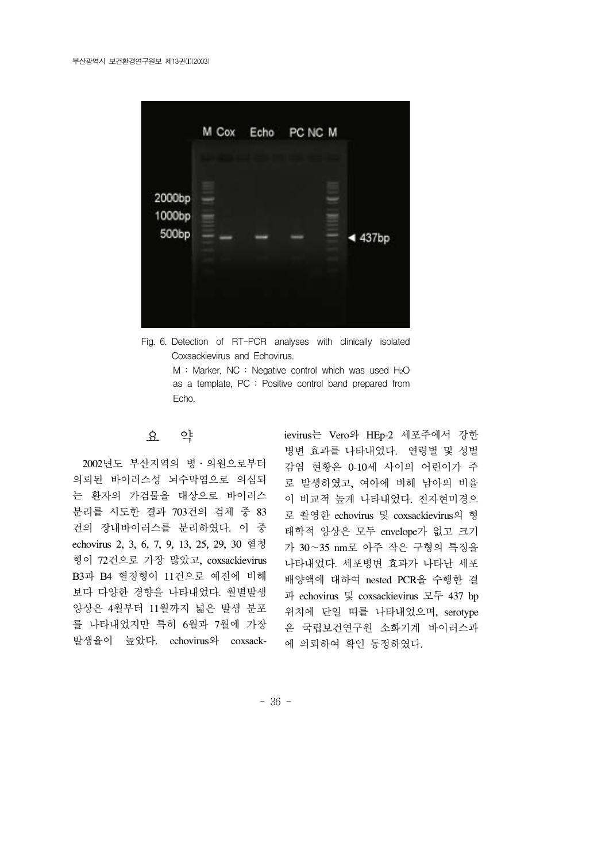

Fig. 6. Detection of RT-PCR analyses with clinically isolated Coxsackievirus and Echovirus.

M : Marker, NC : Negative control which was used  $H_2O$ as a template, PC : Positive control band prepared from Echo.

### 요 약

 2002년도 부산지역의 병․의원으로부터 의뢰된 바이러스성 뇌수막염으로 의심되 는 환자의 가검물을 대상으로 바이러스 분리를 시도한 결과 703건의 검체 중 83 건의 장내바이러스를 분리하였다. 이 중 echovirus 2, 3, 6, 7, 9, 13, 25, 29, 30 혈청 형이 72건으로 가장 많았고, coxsackievirus B3과 B4 혈청형이 11건으로 예전에 비해 보다 다양한 경향을 나타내었다. 월별발생 양상은 4월부터 11월까지 넓은 발생 분포 를 나타내었지만 특히 6월과 7월에 가장 발생율이 높았다. echovirus와 coxsackievirus는 Vero와 HEp-2 세포주에서 강한 병변 효과를 나타내었다. 연령별 및 성별 감염 현황은 0-10세 사이의 어린이가 주 로 발생하였고, 여아에 비해 남아의 비율 이 비교적 높게 나타내었다. 전자현미경으 로 촬영한 echovirus 및 coxsackievirus의 형 태학적 양상은 모두 envelope가 없고 크기 가 30∼35 nm로 아주 작은 구형의 특징을 나타내었다. 세포병변 효과가 나타난 세포 배양액에 대하여 nested PCR을 수행한 결 과 echovirus 및 coxsackievirus 모두 437 bp 위치에 단일 띠를 나타내었으며, serotype 은 국립보건연구원 소화기계 바이러스과 에 의뢰하여 확인 동정하였다.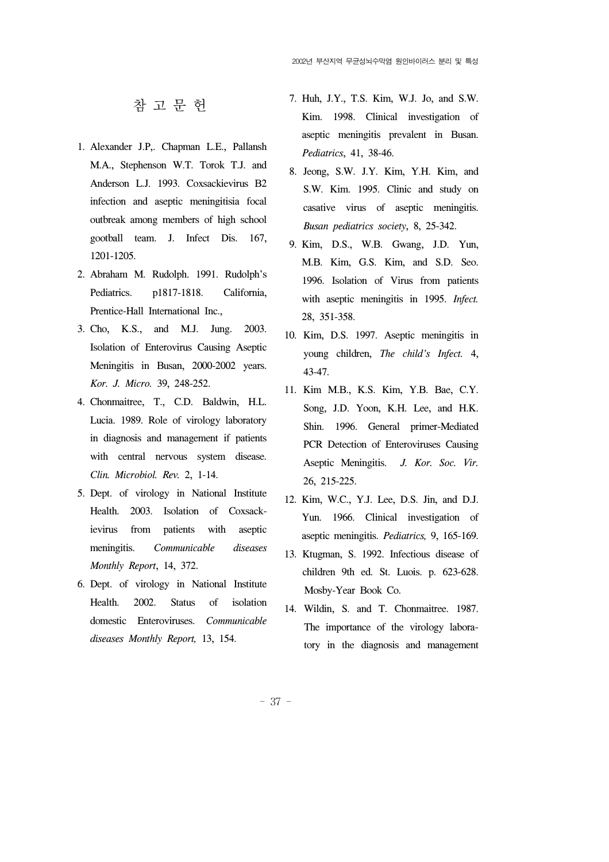참 고 문 헌

- 1. Alexander J.P,. Chapman L.E., Pallansh M.A., Stephenson W.T. Torok T.J. and Anderson L.J. 1993. Coxsackievirus B2 infection and aseptic meningitisia focal outbreak among members of high school gootball team. J. Infect Dis. 167, 1201-1205.
- 2. Abraham M. Rudolph. 1991. Rudolph's Pediatrics. p1817-1818. California, Prentice-Hall International Inc.,
- 3. Cho, K.S., and M.J. Jung. 2003. Isolation of Enterovirus Causing Aseptic Meningitis in Busan, 2000-2002 years. *Kor. J. Micro.* 39, 248-252.
- 4. Chonmaitree, T., C.D. Baldwin, H.L. Lucia. 1989. Role of virology laboratory in diagnosis and management if patients with central nervous system disease. *Clin. Microbiol. Rev.* 2, 1-14.
- 5. Dept. of virology in National Institute Health. 2003. Isolation of Coxsackievirus from patients with aseptic meningitis. *Communicable diseases Monthly Report*, 14, 372.
- 6. Dept. of virology in National Institute Health. 2002. Status of isolation domestic Enteroviruses. *Communicable diseases Monthly Report,* 13, 154.
- 7. Huh, J.Y., T.S. Kim, W.J. Jo, and S.W. Kim. 1998. Clinical investigation of aseptic meningitis prevalent in Busan. *Pediatrics*, 41, 38-46.
- 8. Jeong, S.W. J.Y. Kim, Y.H. Kim, and S.W. Kim. 1995. Clinic and study on casative virus of aseptic meningitis. *Busan pediatrics society*, 8, 25-342.
- 9. Kim, D.S., W.B. Gwang, J.D. Yun, M.B. Kim, G.S. Kim, and S.D. Seo. 1996. Isolation of Virus from patients with aseptic meningitis in 1995. *Infect.* 28, 351-358.
- 10. Kim, D.S. 1997. Aseptic meningitis in young children, *The child's Infect.* 4, 43-47.
- 11. Kim M.B., K.S. Kim, Y.B. Bae, C.Y. Song, J.D. Yoon, K.H. Lee, and H.K. Shin. 1996. General primer-Mediated PCR Detection of Enteroviruses Causing Aseptic Meningitis. *J. Kor. Soc. Vir.* 26, 215-225.
- 12. Kim, W.C., Y.J. Lee, D.S. Jin, and D.J. Yun. 1966. Clinical investigation of aseptic meningitis. *Pediatrics,* 9, 165-169.
- 13. Ktugman, S. 1992. Infectious disease of children 9th ed. St. Luois. p. 623-628. Mosby-Year Book Co.
- 14. Wildin, S. and T. Chonmaitree. 1987. The importance of the virology laboratory in the diagnosis and management